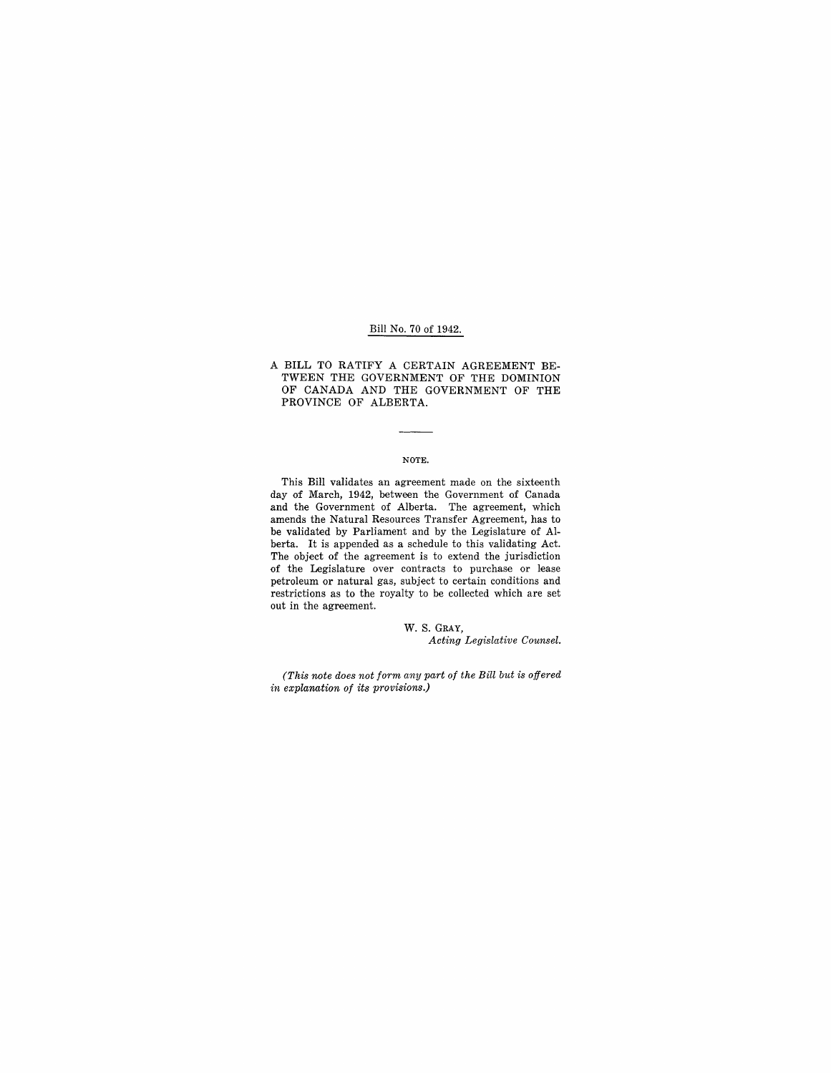## Bill No. 70 of 1942.

A BILL TO RATIFY A CERTAIN AGREEMENT BE-TWEEN THE GOVERNMENT OF THE DOMINION OF CANADA AND THE GOVERNMENT OF THE PROVINCE OF ALBERTA.

#### NOTE.

This Bill validates an agreement made on the sixteenth day of March, 1942, between the Government of Canada and the Government of Alberta. The agreement, which amends the Natural Resources Transfer Agreement, has to be validated by Parliament and by the Legislature of Alberta. It is appended as a schedule to this validating Act. The object of the agreement is to extend the jurisdiction of the Legislature over contracts to purchase or lease petroleum or natural gas, subject to certain conditions and restrictions as to the royalty to be collected which are set out in the agreement.

> W. S. GRAY, *Acting Legislative Counsel.*

*(This note does not form any part of the Bill but is offered in explanation of its provisions.)*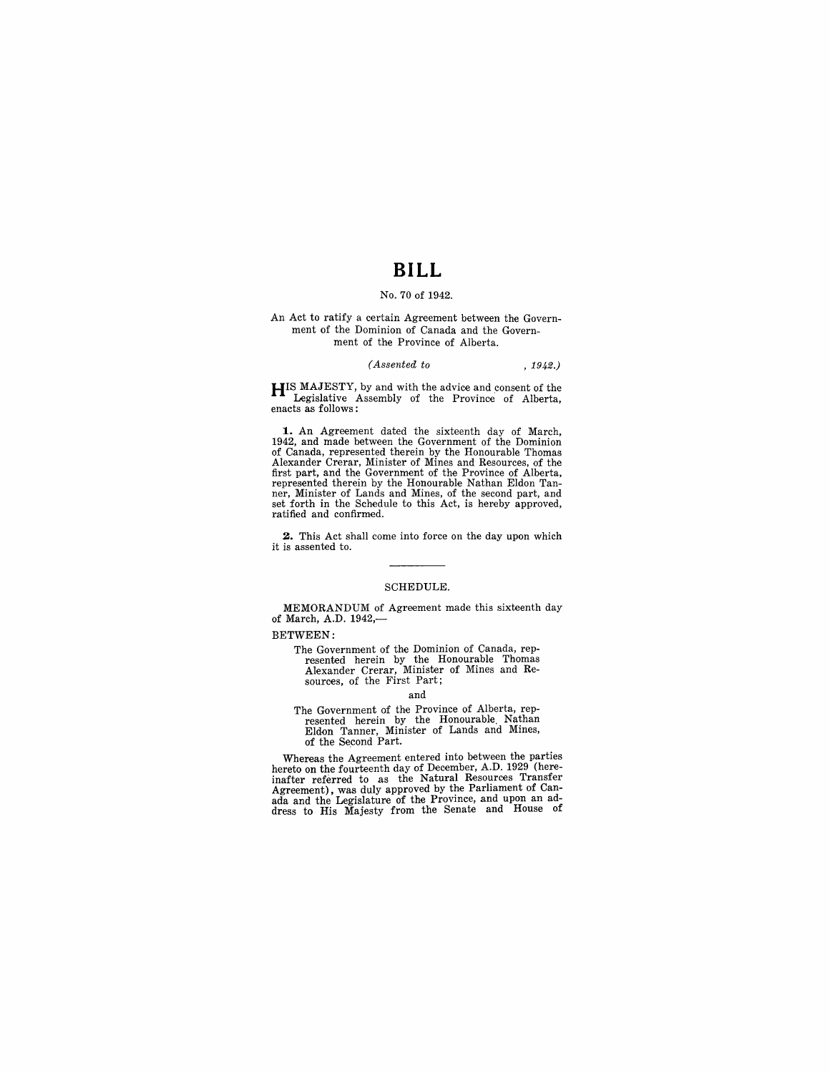## **BILL**

### No. 70 of 1942.

An Act to ratify a certain Agreement between the Government of the Dominion of Canada and the Government of the Province of Alberta.

### *(Assented to* , 1942.)

**HIS MAJESTY**, by and with the advice and consent of the Legislative Assembly of the Province of Alberta, enacts as follows:

**1.** An Agreement dated the sixteenth day of March, 1942, and made between the Government of the Dominion of Canada, represented therein by the Honourable Thomas Alexander Crerar, Minister of Mines and Resources, of the first part, and the Government of the Province of Alberta, represented therein by the Honourable Nathan Eldon Tanner, Minister of Lands and Mines, of the second part, and set forth in the Schedule to this Act, is hereby approved, ratified and confirmed.

**2.** This Act shall come into force on the day upon which it is assented to.

#### SCHEDULE.

MEMORANDUM of Agreement made this sixteenth day of March, A.D. 1942,-

BETWEEN:

The Government of the Dominion of Canada, rep-resented herein by the Honourable Thomas Alexander Crerar, Minister of Mines and Resources, of the First Part;

#### and

The Government of the Province of Alberta, represented herein by the Honourable. Nathan Eldon Tanner, Minister of Lands and Mines, of the Second Part.

Whereas the Agreement entered into between the parties hereto on the fourteenth day of December, A.D. 1929 (here-<br>inafter referred to as the Natural Resources Transfer<br>Agreement), was duly approved by the Parliament of Can-<br>ada and the Legislature of the Province, and upon an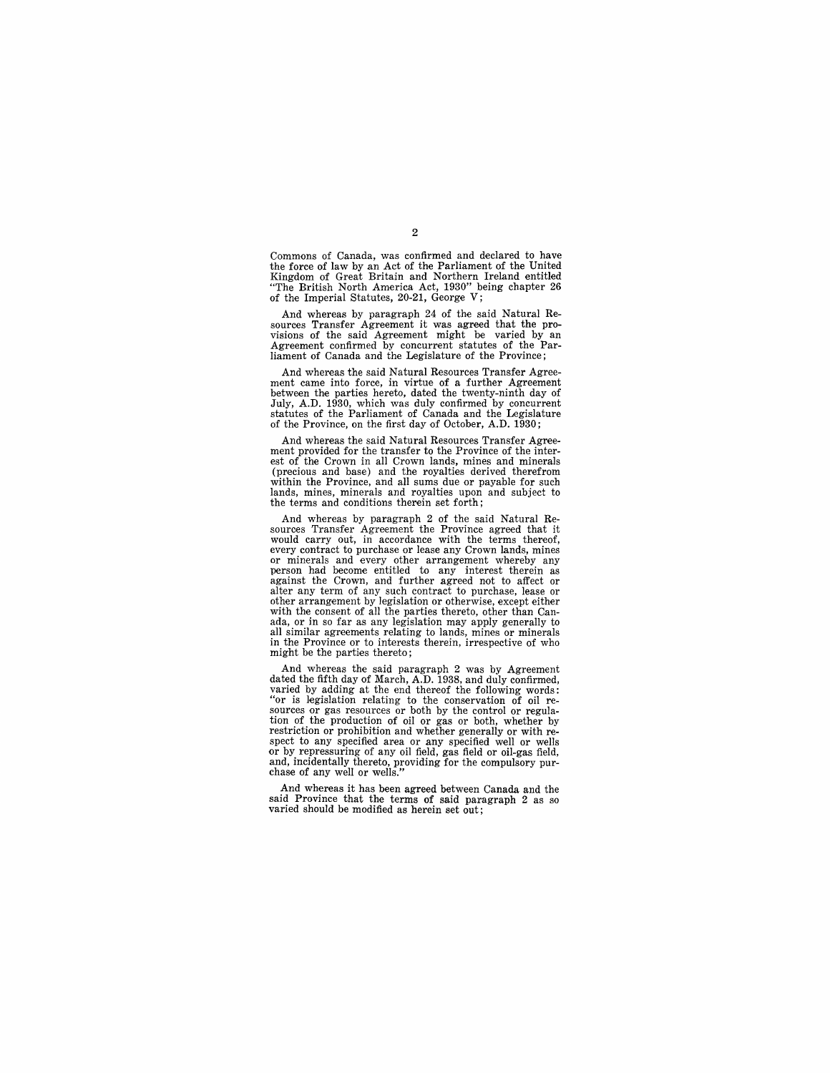Commons of Canada, was confirmed and declared to have the force of law by an Act of the Parliament of the United Kingdom of Great Britain and Northern Ireland entitled "The British North America Act, 1930" being chapter 26 of the Imperial Statutes, 20-21, George V;

And whereas by paragraph 24 of the said Natural Re-<br>sources Transfer Agreement it was agreed that the provisions of the said Agreement might be varied by an Agreement confirmed by concurrent statutes of the Par-liament of Canada and the Legislature of the Province;

And whereas the said Natural Resources Transfer Agreement came into force, in virtue of a further Agreement between the parties hereto, dated the twenty-ninth day of July, A.D. 1930, which was duly confirmed by concurrent statutes of the Parliament of Canada and the Legislature of the Province, on the first day of October, A.D. 1930;

And whereas the said Natural Resources Transfer Agreement provided for the transfer to the Province of the interest of the Crown in all Crown lands, mines and minerals (precious and base) and the royalties derived therefrom within the Province, and all sums due or payable for such lands, mines, minerals and royalties upon and subject to the terms and conditions therein set forth;

And whereas by paragraph 2 of the said Natural Re- sources Transfer Agreement the Province agreed that it would carry out, in accordance with the terms thereof, every contract to purchase or lease any Crown lands, mines every contract to purchase or contract to purchase any Crown lands, minerals and every other arrangement whereby any person had become entitled to any interest therein as equinst the Crown, and further agreed not to affect or<br>alter any term of any such contract to purchase, lease or<br>other arrangement by legislation or otherwise, except either with the consent of all the parties thereto, other than Canada, or in so far as any legislation may apply generally to all similar agreements relating to lands, mines or minerals in the Province or to interests therein, irrespective of who might be the parties thereto;

And whereas the said paragraph 2 was by Agreement dated the fifth day of March, A.D. 1938, and duly confirmed, varied by adding at the end thereof the following words:<br>"or is legislation relating to the conservation of oil resources or gas resources or both by the control or regulation<br>tion of the production of oil or gas or both, and, incidentally thereto, providing for the compulsory pur-chase of any well or wells."

And whereas it has been agreed between Canada and the said Province that the terms of said paragraph 2 as so varied should be modified as herein set out;

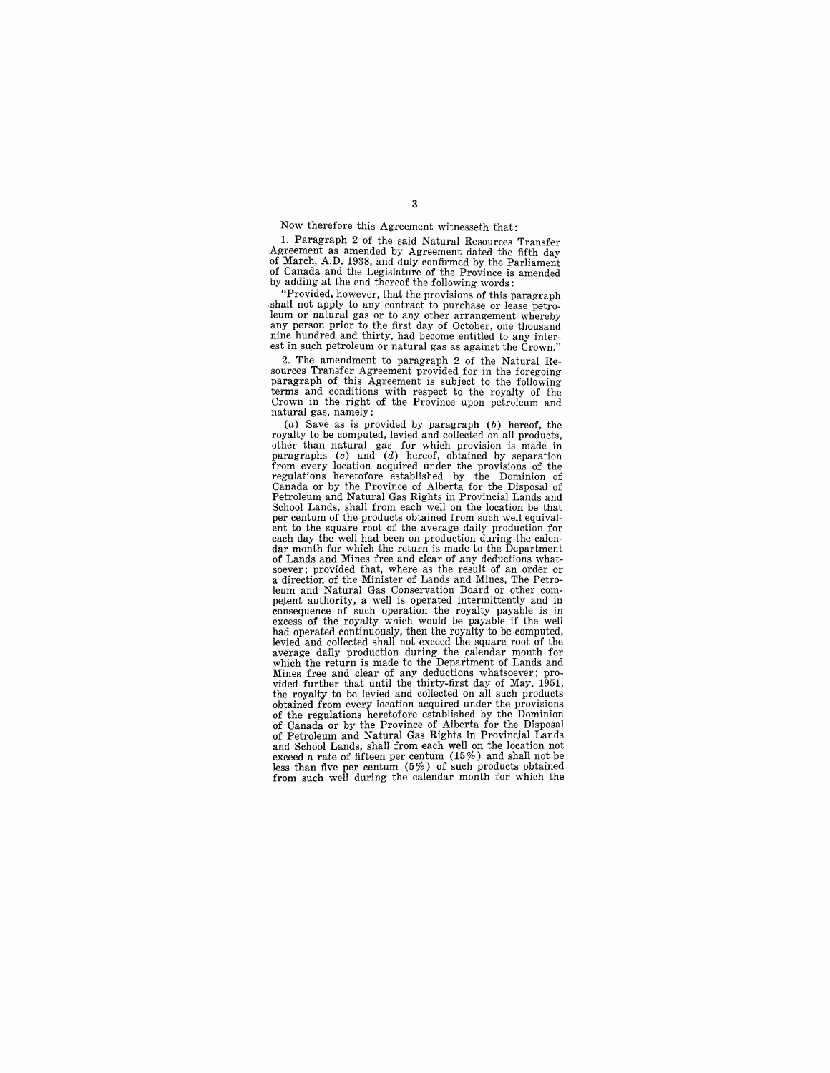### Now therefore this Agreement witnesseth that:

1. Paragraph 2 of the said Natural Resources Transfer Agreement as amended by Agreement dated the fifth day of March, A.D. 1938, and duly confirmed by the Parliament of Canada and the Legislature of the Province is amended by adding at the end thereof the following words:

"Provided, however, that the provisions of this paragraph shall not apply to any contract to purchase or lease petroleum or natural gas or to any other arrangement whereby any person prior to the first day of October, one thousand nine hundred and thirty, had become entitled to any inter-<br>est in such petroleum or natural gas as against the Crown."

2. The amendment to paragraph 2 of the Natural Re- sources Transfer Agreement provided for in the foregoing paragraph of this Agreement is subject to the following terms and conditions with respect to the royalty of the Crown in the right of the Province upon petroleum and natural gas, namely:

 $(a)$  Save as is provided by paragraph  $(b)$  hereof, the royalty to be computed, levied and collected on all products, other than natural gas for which provision is made in paragraphs (c) and (d) hereof, obtained by separation from every location acquired under the provisions of the regulations heretofore established by the Dominion of Canada or by the Province of Alberta for the Disposal of Petroleum and Natural Gas Rights in Provincial Lands and School Lands, shall from each well on the location be that per centum of the products obtained from such well equival-ent to the square root of the average daily production for each day the well had been on production during the calendar month for which the return is made to the Department of Lands and Mines free and clear of any deductions what-<br>soever; provided that, where as the result of an order or a direction of the Minister of Lands and Mines, The Petroleum and Natural Gas Conservation Board or other com- petent authority, a well is operated intermittently and in consequence of such operation the royalty payable is in excess of the royalty which would be payable if the well<br>had operated continuously, then the royalty to be computed,<br>levied and collected shall not exceed the square average daily production during the calendar month for which the return is made to the Department of Lands and Mines free and clear of any deductions whatsoever; pro-vided further that until the thirty-first day of May, 1951, the royalty to be levied and collected on all such products obtained from every location acquired under the provisions of the regulations heretofore established by the Dominion of Canada or by the Province of Alberta for the Disposal of Petroleum and Natural Gas Rights in Provincial Lands and School Lands, shall from each well on the location not exceed a rate of fifteen per centum (15%) and shall not be less than five per centum (5%) of such products obtained from such well during the calendar month for which the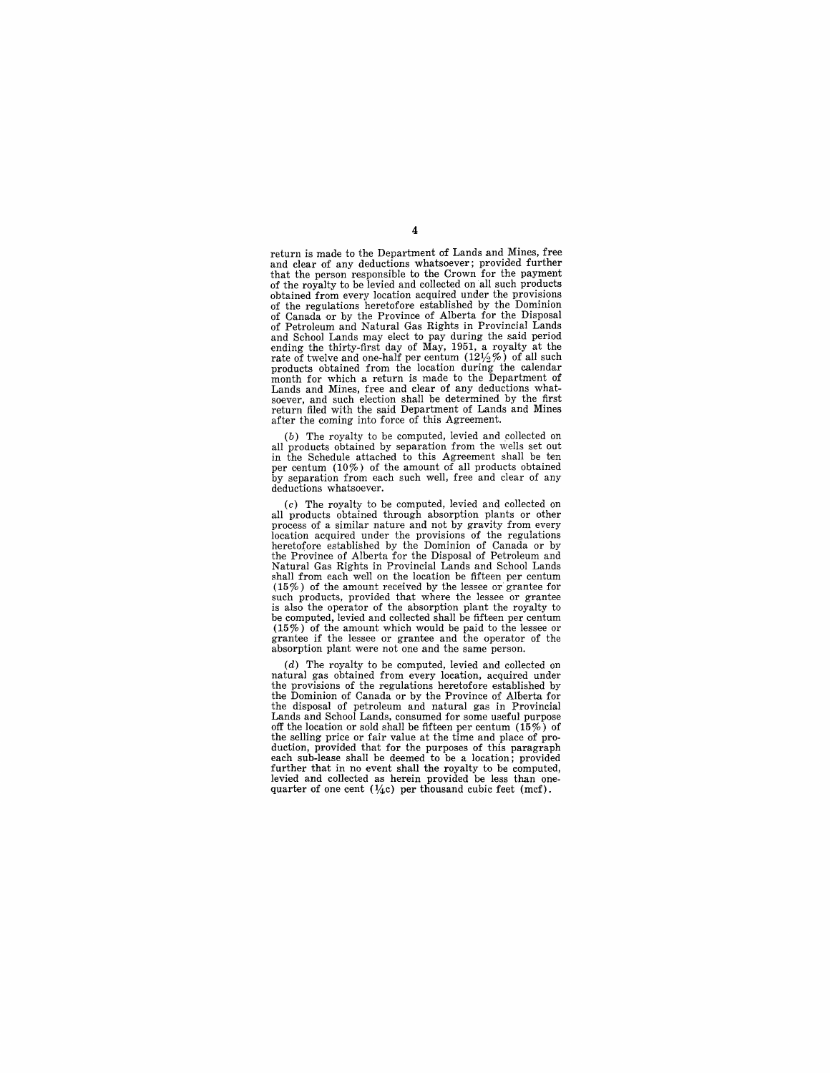return is made to the Department of Lands and Mines, free and clear of any deductions whatsoever; provided further that the person responsible to the Crown for the payment of the royalty to be levied and collected on all such products obtained from every location acquired under the provisions of the regulations heretofore established by the Dominion of Canada or by the Province of Alberta for the Disposal of Petroleum and Natural Gas Rights in Provincial Lands and School Lands may elect to pay during the said period ending the thirty-first day of May, 1951, a royalty at the rate of twelve and one-half per centum (121/2%) of all such products obtained from the location during the calendar month for which a return is made to the Department of Lands and Mines, free and clear of any deductions whatsoever, and such election shall be determined by the first return filed with the said Department of Lands and Mines after the coming into force of this Agreement.

(b) The royalty to be computed, levied and collected on all products obtained by separation from the wells set out in the Schedule attached to this Agreement shall be ten per centum (10%) of the amount of all products obt by separation from each such well, free and clear of any deductions whatsoever.

(c) The royalty to be computed, levied and collected on all products obtained through absorption plants or other process of a similar nature and not by gravity from every location acquired under the provisions of the regulations heretofore established by the Dominion of Canada or by the Province of Alberta for the Disposal of Petroleum and Natural Gas Rights in Provincial Lands and School Lands shall from each well on the location be fifteen per centum (15%) of the amount received by the lessee or grantee for such products, provided that where the lessee or grantee is also the operator of the absorption plant the royalty to be computed, levied and collected shall be fifteen per centum (15%) of the amount which would be paid to the lessee or grantee if the lessee or grantee and the operator of the absorption plant were not one and the same person.

(d) The royalty to be computed, levied and collected on natural gas obtained from every location, acquired under the provisions of the regulations heretofore established by the Dominion of Canada or by the Province of Alberta for the disposal of petroleum and natural gas in Provincial Lands and School Lands, consumed for some useful purpose off the location or sold shall be fifteen per centum (15%) of the selling price or fair value at the time and place of production, provided that for the purposes of this paragraph each sub-lease shall be deemed to be a location; provided further that in no event shall the royalty to be computed, levied and collected as herein provided be less than one-<br>quarter of one cent  $(1/4c)$  per thousand cubic feet (mcf).

4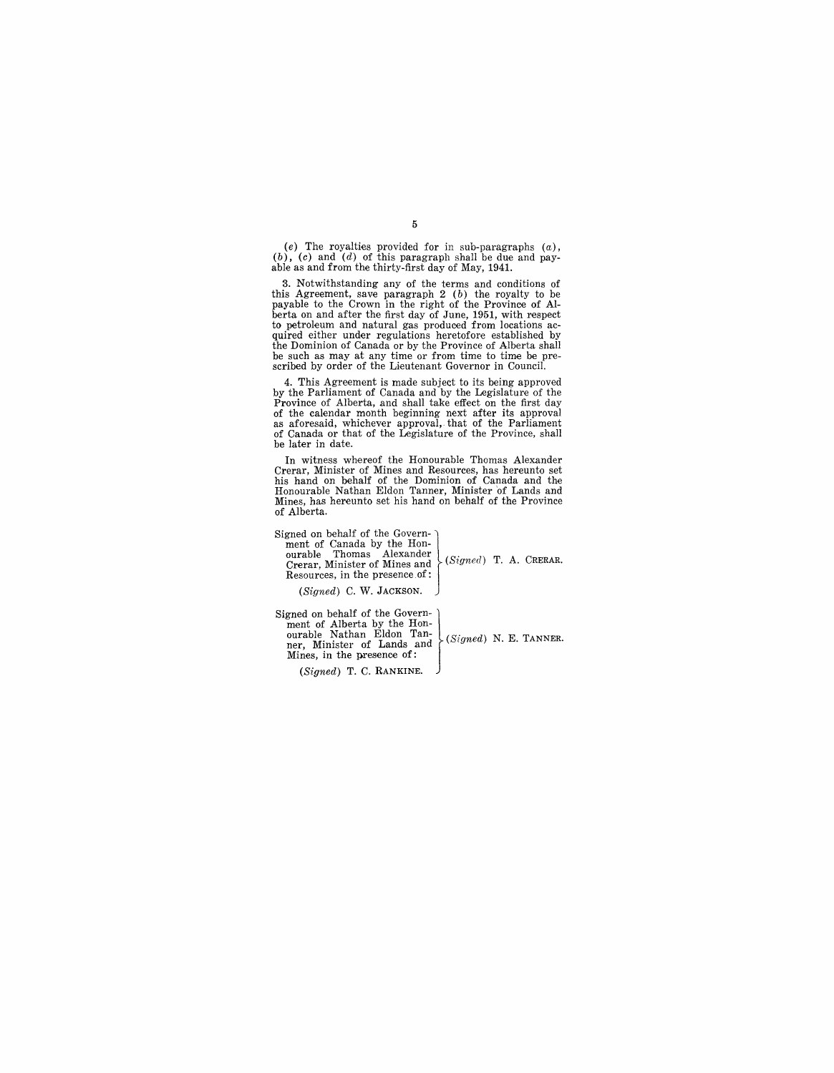(e) The royalties provided for in sub-paragraphs  $(a)$ ,  $(b)$ ,  $(c)$  and  $(d)$  of this paragraph shall be due and pay-<br>able as and from the thirty-first day of May, 1941.

3. Notwithstanding any of the terms and conditions of this Agreement, save paragraph 2 (b) the royalty to be payable to the Crown in the right of the Province of Alberta on and after the first day of June, 1951, with respect to petroleum and natural gas produced from locations ac-<br>quired either under regulations heretofore established by the Dominion of Canada or by the Province of Alberta shall be such as may at any time or from time to time be prescribed by order of the Lieutenant Governor in Council.

4. This Agreement is made subject to its being approved by the Parliament of Canada and by the Legislature of the Province of Alberta, and shall take effect on the first day of the calendar month beginining next after its approval, as aforesaid, whichever approval, that of the be later in date.

In witness whereof the Honourable Thomas Alexander Crerar, Minister of Mines and Resources, has hereunto set his hand on behalf of the Dominion of Canada and the Honourable Nathan Eldon Tanner, Minister 'of Lands and Mines, has hereunto set his hand on behalf of the Province of Alberta.

 $(Signed)$  C. W. JACKSON.  $\bigcup$ 

ourable. Nathan Eldon Tan-  $\bigcup_{i \in S, i \text{ and } j \in S} S_i$  N. E. TANNER. ner, MInIster of Lands and Signed on behalf of the Govern\_j ment of Alberta by the Hon-Mines, in the presence of:

(Signed) T. C. RANKINE.

5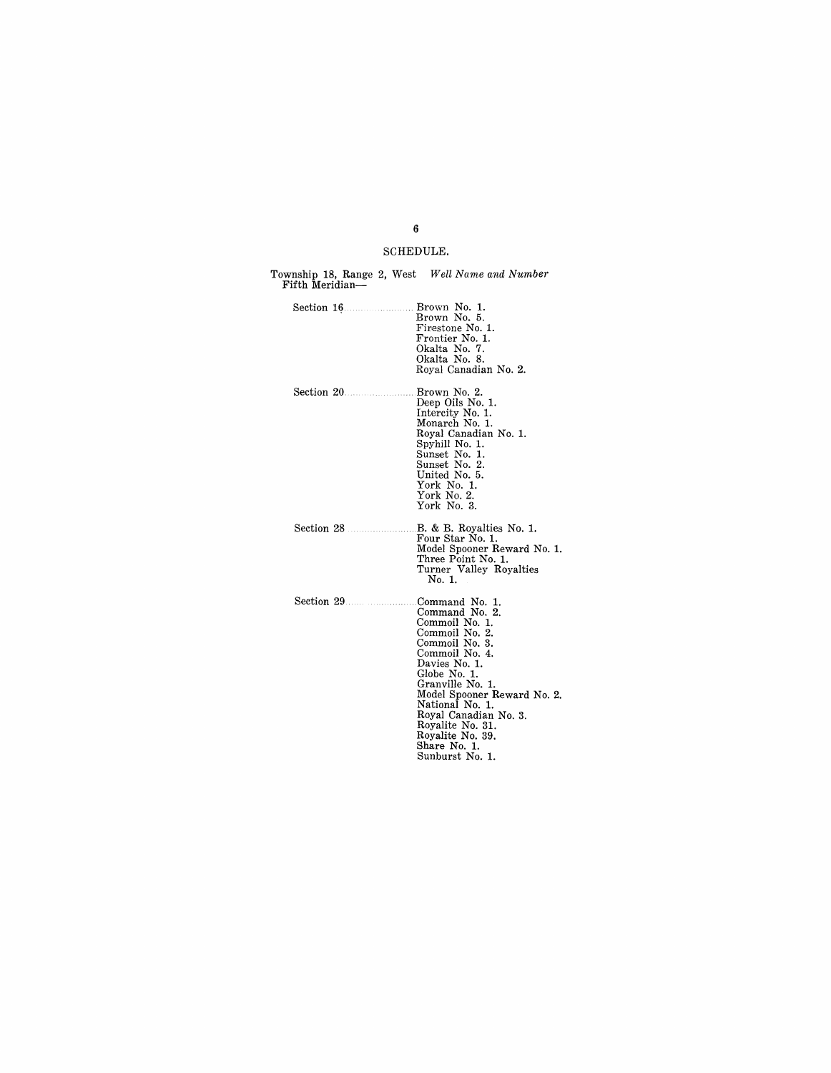## SCHEDULE.

| Township 18, Range 2, West Well Name and Number<br>Fifth Meridian- |                                                                                                                                                                                                                                                                                                                     |
|--------------------------------------------------------------------|---------------------------------------------------------------------------------------------------------------------------------------------------------------------------------------------------------------------------------------------------------------------------------------------------------------------|
|                                                                    | Brown No. 1.<br>Brown No. 5.<br>Firestone No. 1.<br>Frontier No. 1.<br>Okalta No. 7.<br>Okalta No. 8.<br>Royal Canadian No. 2.                                                                                                                                                                                      |
|                                                                    | Brown No. 2.<br>Deep Oils No. 1.<br>Intercity No. 1.<br>Monarch No. 1.<br>Royal Canadian No. 1.<br>Spyhill No. 1.<br>Sunset No. 1.<br>Sunset No. 2.<br>United No. 5.<br>York No. 1.<br>York No. 2.<br>York No. 3.                                                                                                   |
| Section 28                                                         | B. & B. Royalties No. 1.<br>Four Star No. 1.<br>Model Spooner Reward No. 1.<br>Three Point No. 1.<br>Turner Valley Royalties<br>No. 1.                                                                                                                                                                              |
|                                                                    | Command No. 1.<br>Command No. 2.<br>Commoil No. 1.<br>Commoil No. 2.<br>Commoil No. 3.<br>Commoil No. 4.<br>Davies No. 1.<br>Globe No. 1.<br>Granville No. 1.<br>Model Spooner Reward No. 2.<br>National No. 1.<br>Royal Canadian No. 3.<br>Royalite No. 31.<br>Royalite No. 39.<br>Share No. 1.<br>Sunburst No. 1. |

## 6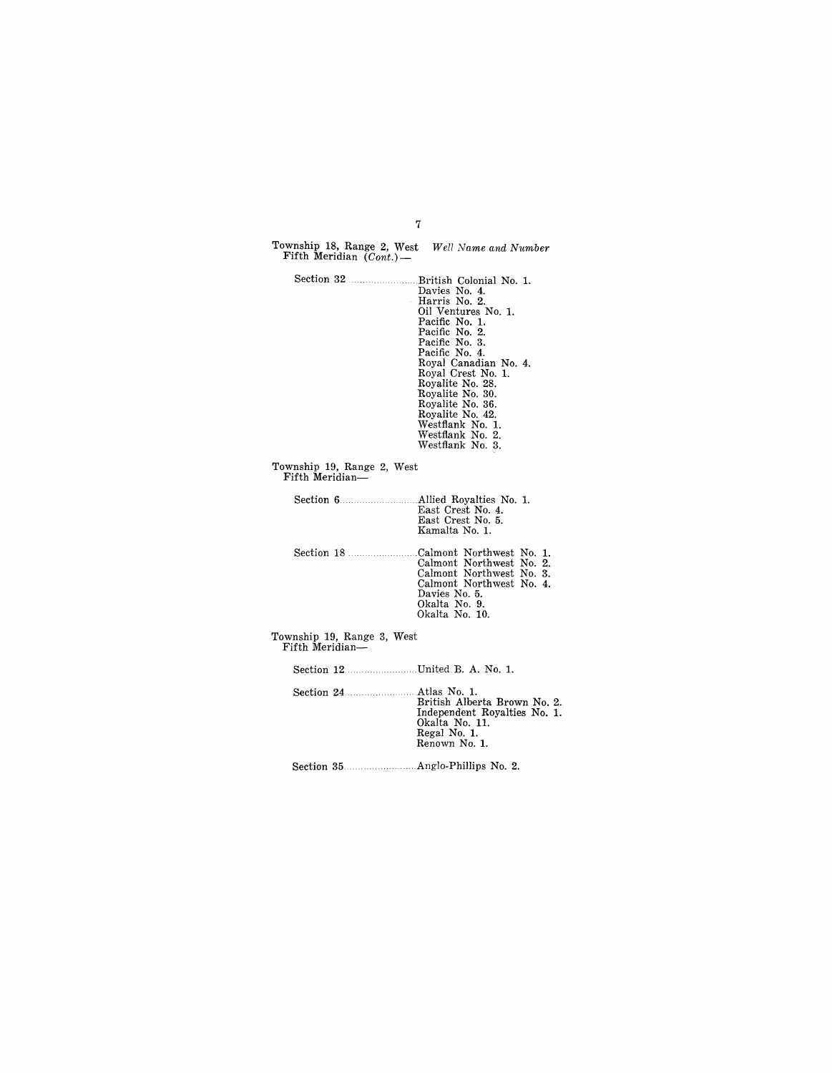| Township 18, Range 2, West Well Name and Number<br>Fifth Meridian $(Cont.)$ — |                                                                                                                                                                                                                                                                                                                          |
|-------------------------------------------------------------------------------|--------------------------------------------------------------------------------------------------------------------------------------------------------------------------------------------------------------------------------------------------------------------------------------------------------------------------|
|                                                                               | Davies No. 4.<br>Harris No. 2.<br>Oil Ventures No. 1.<br>Pacific No. 1.<br>Pacific No. 2.<br>Pacific No. 3.<br>Pacific No. 4.<br>Royal Canadian No. 4.<br>Royal Crest No. 1.<br>Royalite No. 28.<br>Royalite No. 30.<br>Royalite No. 36.<br>Royalite No. 42.<br>Westflank No. 1.<br>Westflank No. 2.<br>Westflank No. 3. |
| Township 19, Range 2, West<br>Fifth Meridian-                                 |                                                                                                                                                                                                                                                                                                                          |
|                                                                               | East Crest No. 4.<br>East Crest No. 5.<br>Kamalta No. 1.                                                                                                                                                                                                                                                                 |
|                                                                               | Section 18 Calmont Northwest No. 1.<br>Calmont Northwest No. 2.<br>Calmont Northwest No. 3.<br>Calmont Northwest No. 4.<br>Davies No. 5.<br>Okalta No. 9.<br>Okalta No. 10.                                                                                                                                              |
| Township 19, Range 3, West<br>Fifth Meridian-                                 |                                                                                                                                                                                                                                                                                                                          |
|                                                                               |                                                                                                                                                                                                                                                                                                                          |
| Section 24 Atlas No. 1.                                                       | British Alberta Brown No. 2.<br>Independent Royalties No. 1.<br>Okalta No. 11.<br>Regal No. 1.<br>Renown No. 1.                                                                                                                                                                                                          |

7

Section 35 ... Anglo-Phillips No.2.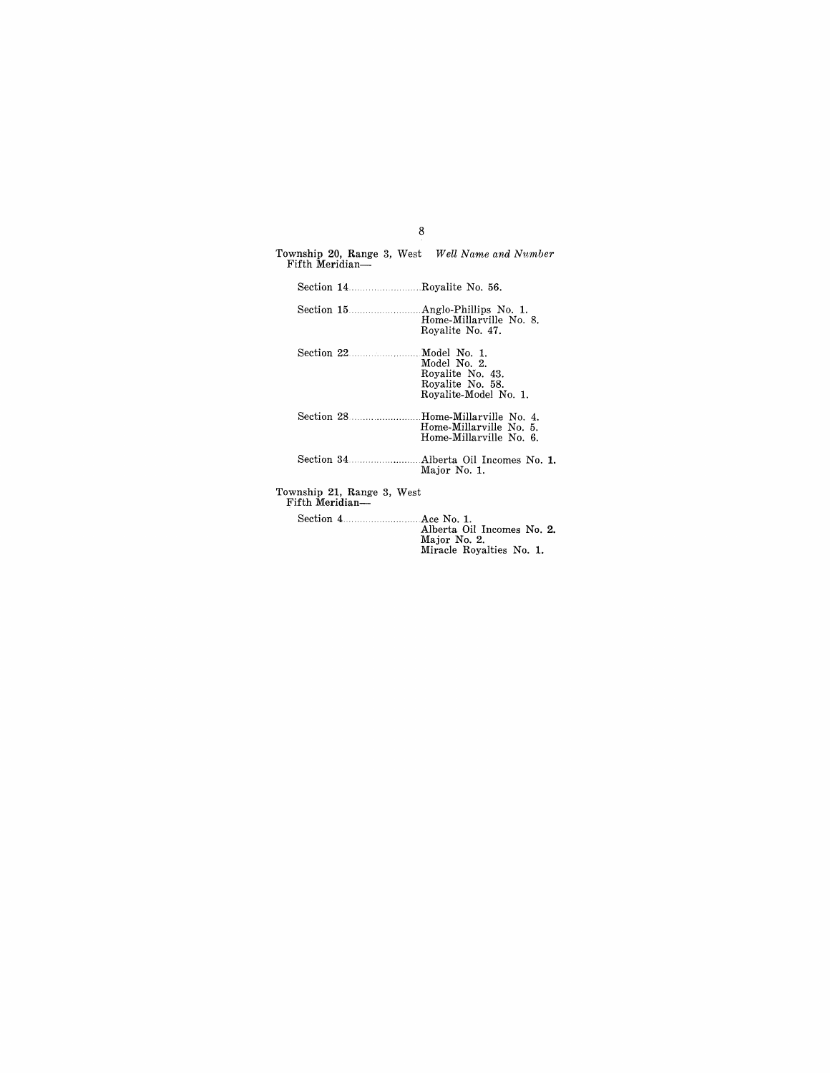| Township 20, Range 3, West Well Name and Number<br>Fifth Meridian- |                                                                               |
|--------------------------------------------------------------------|-------------------------------------------------------------------------------|
|                                                                    |                                                                               |
|                                                                    | Home-Millarville No. 8.<br>Royalite No. 47.                                   |
| Section 22 Model No. 1.                                            | Model No. 2.<br>Royalite No. 43.<br>Royalite No. 58.<br>Royalite-Model No. 1. |
|                                                                    | Home-Millarville No. 5.<br>Home-Millarville No. 6.                            |
|                                                                    | Major No. 1.                                                                  |
| Township 21, Range 3, West<br>Fifth Meridian—                      |                                                                               |
|                                                                    | Alberta Oil Incomes No. 2.<br>Maior No. 2                                     |

8

Major No.2. Miracle Royalties No. 1.